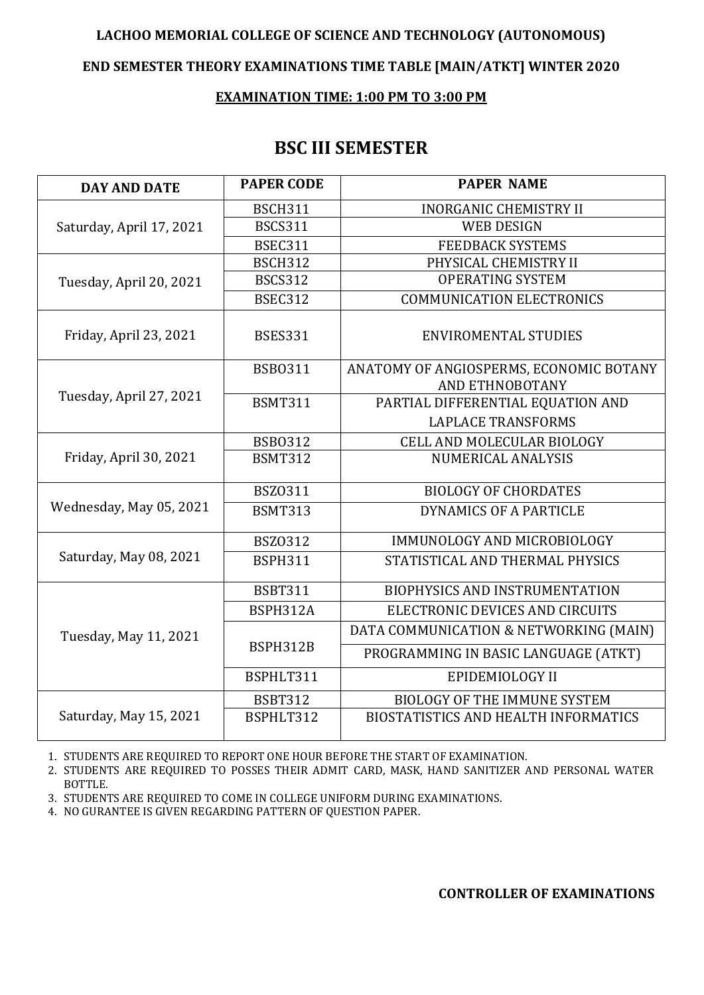### **LACHOO MEMORIAL COLLEGE OF SCIENCE AND TECHNOLOGY (AUTONOMOUS)**

### **END SEMESTER THEORY EXAMINATIONS TIME TABLE [MAIN/ATKT] WINTER 2020**

#### **EXAMINATION TIME: 1:00 PM TO 3:00 PM**

## **BSC III SEMESTER**

| <b>DAY AND DATE</b>      | <b>PAPER CODE</b> | <b>PAPER NAME</b>                                          |
|--------------------------|-------------------|------------------------------------------------------------|
| Saturday, April 17, 2021 | <b>BSCH311</b>    | <b>INORGANIC CHEMISTRY II</b>                              |
|                          | <b>BSCS311</b>    | <b>WEB DESIGN</b>                                          |
|                          | <b>BSEC311</b>    | <b>FEEDBACK SYSTEMS</b>                                    |
| Tuesday, April 20, 2021  | <b>BSCH312</b>    | PHYSICAL CHEMISTRY II                                      |
|                          | <b>BSCS312</b>    | <b>OPERATING SYSTEM</b>                                    |
|                          | <b>BSEC312</b>    | <b>COMMUNICATION ELECTRONICS</b>                           |
| Friday, April 23, 2021   | <b>BSES331</b>    | <b>ENVIROMENTAL STUDIES</b>                                |
| Tuesday, April 27, 2021  | <b>BSB0311</b>    | ANATOMY OF ANGIOSPERMS, ECONOMIC BOTANY<br>AND ETHNOBOTANY |
|                          | <b>BSMT311</b>    | PARTIAL DIFFERENTIAL EQUATION AND                          |
|                          |                   | <b>LAPLACE TRANSFORMS</b>                                  |
| Friday, April 30, 2021   | <b>BSB0312</b>    | CELL AND MOLECULAR BIOLOGY                                 |
|                          | <b>BSMT312</b>    | <b>NUMERICAL ANALYSIS</b>                                  |
| Wednesday, May 05, 2021  | <b>BSZ0311</b>    | <b>BIOLOGY OF CHORDATES</b>                                |
|                          | <b>BSMT313</b>    | DYNAMICS OF A PARTICLE                                     |
| Saturday, May 08, 2021   | <b>BSZ0312</b>    | IMMUNOLOGY AND MICROBIOLOGY                                |
|                          | <b>BSPH311</b>    | STATISTICAL AND THERMAL PHYSICS                            |
| Tuesday, May 11, 2021    | <b>BSBT311</b>    | <b>BIOPHYSICS AND INSTRUMENTATION</b>                      |
|                          | BSPH312A          | ELECTRONIC DEVICES AND CIRCUITS                            |
|                          | BSPH312B          | DATA COMMUNICATION & NETWORKING (MAIN)                     |
|                          |                   | PROGRAMMING IN BASIC LANGUAGE (ATKT)                       |
|                          | BSPHLT311         | <b>EPIDEMIOLOGY II</b>                                     |
| Saturday, May 15, 2021   | <b>BSBT312</b>    | <b>BIOLOGY OF THE IMMUNE SYSTEM</b>                        |
|                          | BSPHLT312         | <b>BIOSTATISTICS AND HEALTH INFORMATICS</b>                |

1. STUDENTS ARE REQUIRED TO REPORT ONE HOUR BEFORE THE START OF EXAMINATION.

2. STUDENTS ARE REQUIRED TO POSSES THEIR ADMIT CARD, MASK, HAND SANITIZER AND PERSONAL WATER BOTTLE.

3. STUDENTS ARE REQUIRED TO COME IN COLLEGE UNIFORM DURING EXAMINATIONS.

4. NO GURANTEE IS GIVEN REGARDING PATTERN OF QUESTION PAPER.